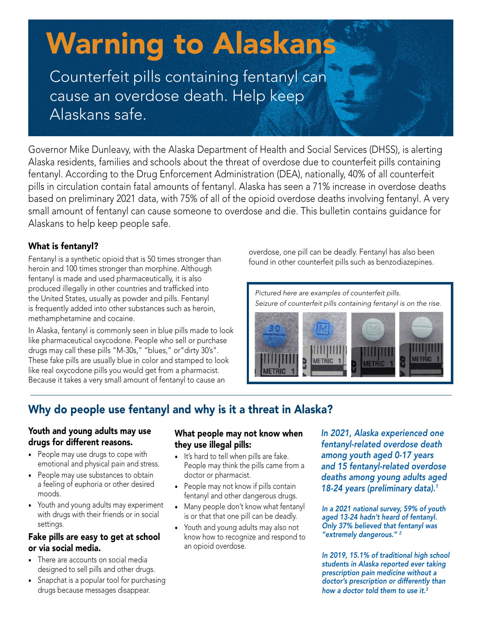# Warning to Alaskans

Counterfeit pills containing fentanyl can cause an overdose death. Help keep Alaskans safe.

Governor Mike Dunleavy, with the Alaska Department of Health and Social Services (DHSS), is alerting Alaska residents, families and schools about the threat of overdose due to counterfeit pills containing fentanyl. According to the Drug Enforcement Administration (DEA), nationally, 40% of all counterfeit pills in circulation contain fatal amounts of fentanyl. Alaska has seen a 71% increase in overdose deaths based on preliminary 2021 data, with 75% of all of the opioid overdose deaths involving fentanyl. A very small amount of fentanyl can cause someone to overdose and die. This bulletin contains guidance for Alaskans to help keep people safe.

# What is fentanyl?

Fentanyl is a synthetic opioid that is 50 times stronger than heroin and 100 times stronger than morphine. Although fentanyl is made and used pharmaceutically, it is also produced illegally in other countries and trafficked into the United States, usually as powder and pills. Fentanyl is frequently added into other substances such as heroin, methamphetamine and cocaine.

In Alaska, fentanyl is commonly seen in blue pills made to look like pharmaceutical oxycodone. People who sell or purchase drugs may call these pills "M-30s," "blues," or"dirty 30's". These fake pills are usually blue in color and stamped to look like real oxycodone pills you would get from a pharmacist. Because it takes a very small amount of fentanyl to cause an

overdose, one pill can be deadly. Fentanyl has also been found in other counterfeit pills such as benzodiazepines.

*Pictured here are examples of counterfeit pills. Seizure of counterfeit pills containing fentanyl is on the rise.* 



# Why do people use fentanyl and why is it a threat in Alaska?

# Youth and young adults may use drugs for different reasons.

- People may use drugs to cope with emotional and physical pain and stress.
- People may use substances to obtain a feeling of euphoria or other desired moods.
- Youth and young adults may experiment with drugs with their friends or in social settings.

# Fake pills are easy to get at school or via social media.

- There are accounts on social media designed to sell pills and other drugs.
- Snapchat is a popular tool for purchasing drugs because messages disappear.

# What people may not know when they use illegal pills:

- It's hard to tell when pills are fake. People may think the pills came from a doctor or pharmacist.
- People may not know if pills contain fentanyl and other dangerous drugs.
- Many people don't know what fentanyl is or that that one pill can be deadly.
- Youth and young adults may also not know how to recognize and respond to an opioid overdose.

*In 2021, Alaska experienced one fentanyl-related overdose death among youth aged 0-17 years and 15 fentanyl-related overdose deaths among young adults aged 18-24 years (preliminary data).1* 

*In a 2021 national survey, 59% of youth aged 13-24 hadn't heard of fentanyl. Only 37% believed that fentanyl was "extremely dangerous." 2*

*In 2019, 15.1% of traditional high school students in Alaska reported ever taking prescription pain medicine without a doctor's prescription or differently than how a doctor told them to use it.3*